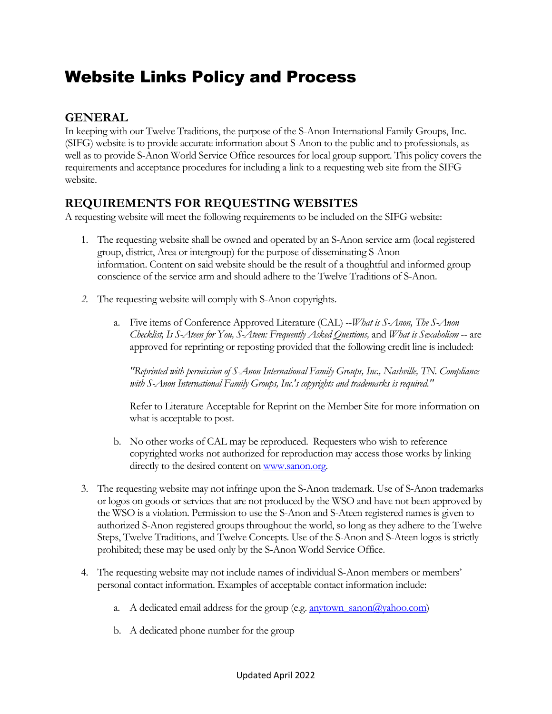# Website Links Policy and Process

### **GENERAL**

In keeping with our Twelve Traditions, the purpose of the S-Anon International Family Groups, Inc. (SIFG) website is to provide accurate information about S-Anon to the public and to professionals, as well as to provide S-Anon World Service Office resources for local group support. This policy covers the requirements and acceptance procedures for including a link to a requesting web site from the SIFG website.

#### **REQUIREMENTS FOR REQUESTING WEBSITES**

A requesting website will meet the following requirements to be included on the SIFG website:

- 1. The requesting website shall be owned and operated by an S-Anon service arm (local registered group, district, Area or intergroup) for the purpose of disseminating S-Anon information. Content on said website should be the result of a thoughtful and informed group conscience of the service arm and should adhere to the Twelve Traditions of S-Anon.
- *2.* The requesting website will comply with S-Anon copyrights.
	- a. Five items of Conference Approved Literature (CAL) --*What is S-Anon, The S-Anon Checklist, Is S-Ateen for You, S-Ateen: Frequently Asked Questions,* and *What is Sexaholism* -- are approved for reprinting or reposting provided that the following credit line is included:

*"Reprinted with permission of S-Anon International Family Groups, Inc., Nashville, TN. Compliance with S-Anon International Family Groups, Inc.'s copyrights and trademarks is required."*

Refer to Literature Acceptable for Reprint on the Member Site for more information on what is acceptable to post.

- b. No other works of CAL may be reproduced. Requesters who wish to reference copyrighted works not authorized for reproduction may access those works by linking directly to the desired content on www.sanon.org.
- 3. The requesting website may not infringe upon the S-Anon trademark. Use of S-Anon trademarks or logos on goods or services that are not produced by the WSO and have not been approved by the WSO is a violation. Permission to use the S-Anon and S-Ateen registered names is given to authorized S-Anon registered groups throughout the world, so long as they adhere to the Twelve Steps, Twelve Traditions, and Twelve Concepts. Use of the S-Anon and S-Ateen logos is strictly prohibited; these may be used only by the S-Anon World Service Office.
- 4. The requesting website may not include names of individual S-Anon members or members' personal contact information. Examples of acceptable contact information include:
	- a. A dedicated email address for the group (e.g.  $\frac{anytown_s}{anot(\theta)}$  sanon $\left(\frac{ayahoo.com}{anot(\theta)}\right)$
	- b. A dedicated phone number for the group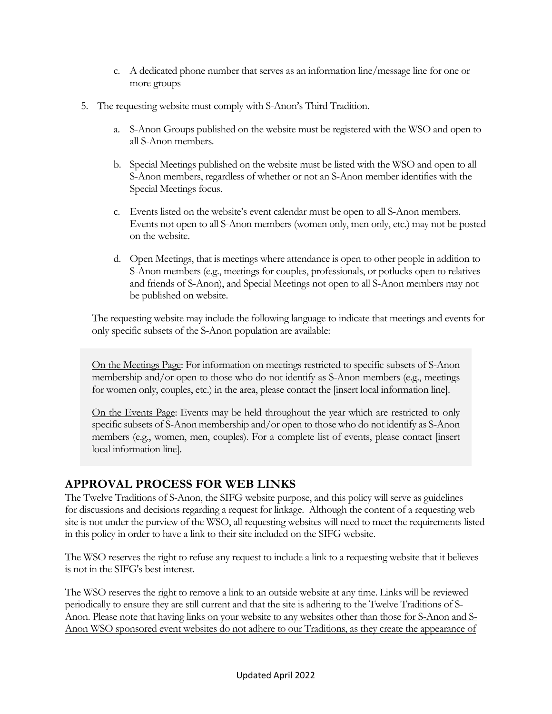- c. A dedicated phone number that serves as an information line/message line for one or more groups
- 5. The requesting website must comply with S-Anon's Third Tradition.
	- a. S-Anon Groups published on the website must be registered with the WSO and open to all S-Anon members.
	- b. Special Meetings published on the website must be listed with the WSO and open to all S-Anon members, regardless of whether or not an S-Anon member identifies with the Special Meetings focus.
	- c. Events listed on the website's event calendar must be open to all S-Anon members. Events not open to all S-Anon members (women only, men only, etc.) may not be posted on the website.
	- d. Open Meetings, that is meetings where attendance is open to other people in addition to S-Anon members (e.g., meetings for couples, professionals, or potlucks open to relatives and friends of S-Anon), and Special Meetings not open to all S-Anon members may not be published on website.

The requesting website may include the following language to indicate that meetings and events for only specific subsets of the S-Anon population are available:

On the Meetings Page: For information on meetings restricted to specific subsets of S-Anon membership and/or open to those who do not identify as S-Anon members (e.g., meetings for women only, couples, etc.) in the area, please contact the [insert local information line].

On the Events Page: Events may be held throughout the year which are restricted to only specific subsets of S-Anon membership and/or open to those who do not identify as S-Anon members (e.g., women, men, couples). For a complete list of events, please contact [insert local information line].

#### **APPROVAL PROCESS FOR WEB LINKS**

The Twelve Traditions of S-Anon, the SIFG website purpose, and this policy will serve as guidelines for discussions and decisions regarding a request for linkage. Although the content of a requesting web site is not under the purview of the WSO, all requesting websites will need to meet the requirements listed in this policy in order to have a link to their site included on the SIFG website.

The WSO reserves the right to refuse any request to include a link to a requesting website that it believes is not in the SIFG's best interest.

The WSO reserves the right to remove a link to an outside website at any time. Links will be reviewed periodically to ensure they are still current and that the site is adhering to the Twelve Traditions of S-Anon. Please note that having links on your website to any websites other than those for S-Anon and S-Anon WSO sponsored event websites do not adhere to our Traditions, as they create the appearance of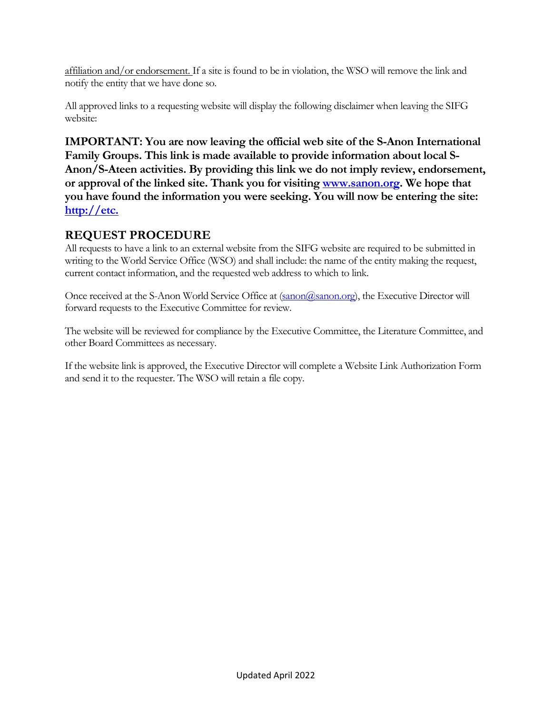affiliation and/or endorsement. If a site is found to be in violation, the WSO will remove the link and notify the entity that we have done so.

All approved links to a requesting website will display the following disclaimer when leaving the SIFG website:

**IMPORTANT: You are now leaving the official web site of the S-Anon International Family Groups. This link is made available to provide information about local S-Anon/S-Ateen activities. By providing this link we do not imply review, endorsement, or approval of the linked site. Thank you for visiting [www.sanon.org.](http://www.sanon.org/) We hope that you have found the information you were seeking. You will now be entering the site: [http://etc.](http://etc./)**

### **REQUEST PROCEDURE**

All requests to have a link to an external website from the SIFG website are required to be submitted in writing to the World Service Office (WSO) and shall include: the name of the entity making the request, current contact information, and the requested web address to which to link.

Once received at the S-Anon World Service Office at [\(sanon@sanon.org\)](mailto:sanon@sanon.org), the Executive Director will forward requests to the Executive Committee for review.

The website will be reviewed for compliance by the Executive Committee, the Literature Committee, and other Board Committees as necessary.

If the website link is approved, the Executive Director will complete a Website Link Authorization Form and send it to the requester. The WSO will retain a file copy.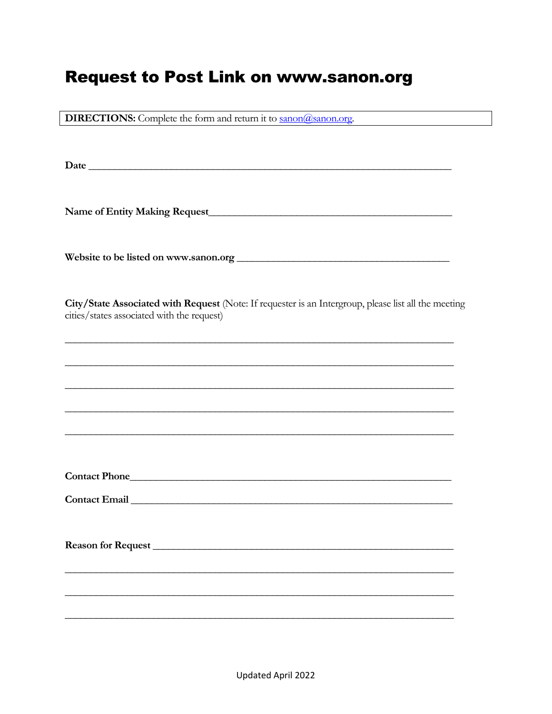## **Request to Post Link on www.sanon.org**

**DIRECTIONS:** Complete the form and return it to **sanon@sanon.org**.

Date has a series of the series of the series of the series of the series of the series of the series of the series of the series of the series of the series of the series of the series of the series of the series of the s

City/State Associated with Request (Note: If requester is an Intergroup, please list all the meeting cities/states associated with the request)

| Contact Phone      |  |
|--------------------|--|
| Contact Email      |  |
|                    |  |
| Reason for Request |  |
|                    |  |